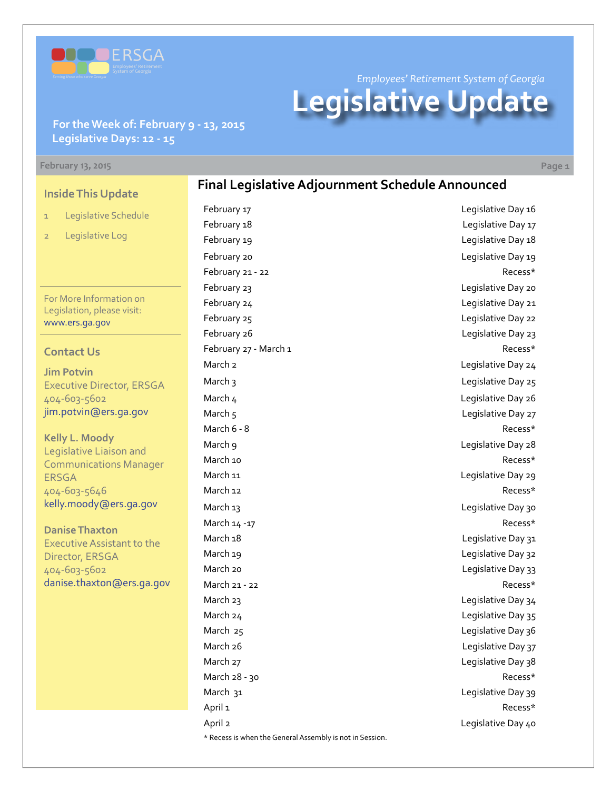

*Employees' Retirement System of Georgia*

# **Legislative Update**

**Final Legislative Adjournment Schedule Announced**

**For the Week of: February 9 - 13, 2015 Legislative Days: 12 - 15**

#### **February 13, 2015 Page 1**

**Inside This Update**

- 1 Legislative Schedule
- 2 Legislative Log

For More Information on Legislation, please visit: [www.ers.ga.gov](http://www.ers.ga.gov/default.aspx)

#### **Contact Us**

**Jim Potvin** Executive Director, ERSGA 404-603-5602 jim.potvin@ers.ga.gov

**Kelly L. Moody** Legislative Liaison and Communications Manager ERSGA 404-603-5646 kelly.moody@ers.ga.gov

**Danise Thaxton** Executive Assistant to the Director, ERSGA 404-603-5602 danise.thaxton@ers.ga.gov February 17 **Legislative Day 16** February 18 **Example 28** Legislative Day 17 February 19 **Example 20** Legislative Day 18 February 20 **Legislative Day 19** February 21 - 22 Recess\* February 23 Legislative Day 20 February 24 **Legislative Day 21** February 25 **Legislative Day 22** February 26 **Legislative Day 23** February 27 - March 1 Recess\* March 2 Legislative Day 24 March 3 Legislative Day 25 March 4 Legislative Day 26 March 5 Legislative Day 27 March 6 - 8 Recess\* March 9 **March** 9 March 10 **Recess**\* March 11 March 11 March 11 March 11 March 11 March 11 March 11 March 11 March 11 March 11 March 11 March 11 Ma March 12 Recess\* March 13 **March 13** Legislative Day 30 March 14 -17 Recess\* March 18 and 18 and 18 and 18 and 18 and 18 and 18 and 18 and 18 and 18 and 18 and 18 and 18 and 18 and 18 and 1 March 19 March 19 March 20 **March 20** Legislative Day 33 March 21 - 22 Recess\* March 23 March 24 Legislative Day 35 March 25 and 2012 12:30 March 25 March 26 **Legislative Day 37** March 27 Legislative Day 38 March 28 - 30 Recess\* March 31 Legislative Day 39 April 1 **Recess**\* April 2 **April 2** Legislative Day 40 \* Recess is when the General Assembly is not in Session.